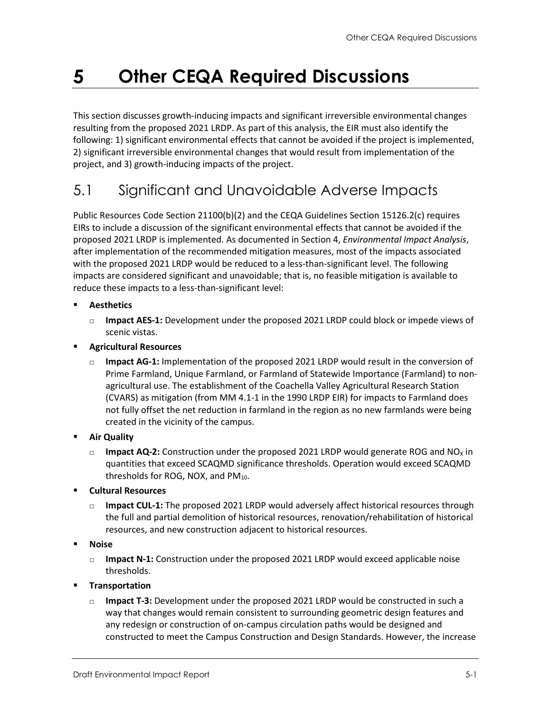#### 5 **Other CEQA Required Discussions**

This section discusses growth-inducing impacts and significant irreversible environmental changes resulting from the proposed 2021 LRDP. As part of this analysis, the EIR must also identify the following: 1) significant environmental effects that cannot be avoided if the project is implemented, 2) significant irreversible environmental changes that would result from implementation of the project, and 3) growth-inducing impacts of the project.

## 5.1 Significant and Unavoidable Adverse Impacts

Public Resources Code Section 21100(b)(2) and the CEQA Guidelines Section 15126.2(c) requires EIRs to include a discussion of the significant environmental effects that cannot be avoided if the proposed 2021 LRDP is implemented. As documented in Section 4, *Environmental Impact Analysis*, after implementation of the recommended mitigation measures, most of the impacts associated with the proposed 2021 LRDP would be reduced to a less-than-significant level. The following impacts are considered significant and unavoidable; that is, no feasible mitigation is available to reduce these impacts to a less-than-significant level:

- **Aesthetics**
	- □ **Impact AES-1:** Development under the proposed 2021 LRDP could block or impede views of scenic vistas.
- **Agricultural Resources**
	- □ **Impact AG-1:** Implementation of the proposed 2021 LRDP would result in the conversion of Prime Farmland, Unique Farmland, or Farmland of Statewide Importance (Farmland) to nonagricultural use. The establishment of the Coachella Valley Agricultural Research Station (CVARS) as mitigation (from MM 4.1-1 in the 1990 LRDP EIR) for impacts to Farmland does not fully offset the net reduction in farmland in the region as no new farmlands were being created in the vicinity of the campus.
- **Air Quality**
	- $\Box$  **Impact AQ-2:** Construction under the proposed 2021 LRDP would generate ROG and NO<sub>x</sub> in quantities that exceed SCAQMD significance thresholds. Operation would exceed SCAQMD thresholds for ROG, NOX, and PM<sub>10</sub>.
- **Cultural Resources**
	- **Impact CUL-1:** The proposed 2021 LRDP would adversely affect historical resources through the full and partial demolition of historical resources, renovation/rehabilitation of historical resources, and new construction adjacent to historical resources.
- **Noise**
	- □ **Impact N-1:** Construction under the proposed 2021 LRDP would exceed applicable noise thresholds.
- **Transportation**
	- □ **Impact T-3:** Development under the proposed 2021 LRDP would be constructed in such a way that changes would remain consistent to surrounding geometric design features and any redesign or construction of on-campus circulation paths would be designed and constructed to meet the Campus Construction and Design Standards. However, the increase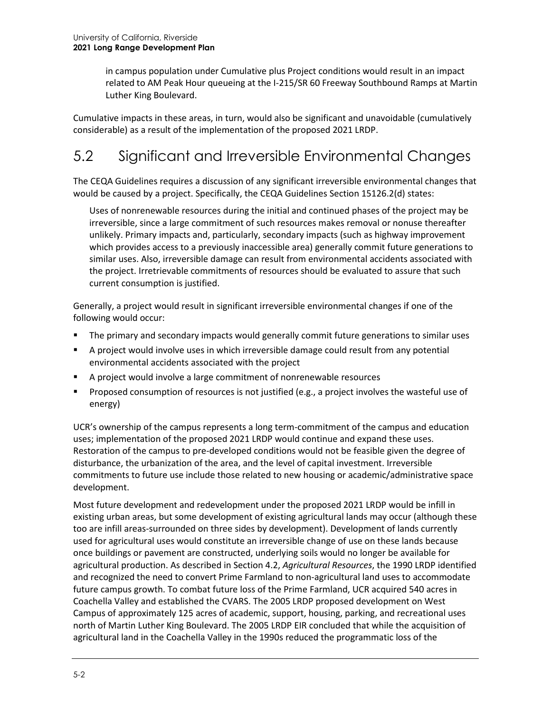in campus population under Cumulative plus Project conditions would result in an impact related to AM Peak Hour queueing at the I-215/SR 60 Freeway Southbound Ramps at Martin Luther King Boulevard.

Cumulative impacts in these areas, in turn, would also be significant and unavoidable (cumulatively considerable) as a result of the implementation of the proposed 2021 LRDP.

# 5.2 Significant and Irreversible Environmental Changes

The CEQA Guidelines requires a discussion of any significant irreversible environmental changes that would be caused by a project. Specifically, the CEQA Guidelines Section 15126.2(d) states:

Uses of nonrenewable resources during the initial and continued phases of the project may be irreversible, since a large commitment of such resources makes removal or nonuse thereafter unlikely. Primary impacts and, particularly, secondary impacts (such as highway improvement which provides access to a previously inaccessible area) generally commit future generations to similar uses. Also, irreversible damage can result from environmental accidents associated with the project. Irretrievable commitments of resources should be evaluated to assure that such current consumption is justified.

Generally, a project would result in significant irreversible environmental changes if one of the following would occur:

- The primary and secondary impacts would generally commit future generations to similar uses
- A project would involve uses in which irreversible damage could result from any potential environmental accidents associated with the project
- A project would involve a large commitment of nonrenewable resources
- Proposed consumption of resources is not justified (e.g., a project involves the wasteful use of energy)

UCR's ownership of the campus represents a long term-commitment of the campus and education uses; implementation of the proposed 2021 LRDP would continue and expand these uses. Restoration of the campus to pre-developed conditions would not be feasible given the degree of disturbance, the urbanization of the area, and the level of capital investment. Irreversible commitments to future use include those related to new housing or academic/administrative space development.

Most future development and redevelopment under the proposed 2021 LRDP would be infill in existing urban areas, but some development of existing agricultural lands may occur (although these too are infill areas-surrounded on three sides by development). Development of lands currently used for agricultural uses would constitute an irreversible change of use on these lands because once buildings or pavement are constructed, underlying soils would no longer be available for agricultural production. As described in Section 4.2, *Agricultural Resources*, the 1990 LRDP identified and recognized the need to convert Prime Farmland to non-agricultural land uses to accommodate future campus growth. To combat future loss of the Prime Farmland, UCR acquired 540 acres in Coachella Valley and established the CVARS. The 2005 LRDP proposed development on West Campus of approximately 125 acres of academic, support, housing, parking, and recreational uses north of Martin Luther King Boulevard. The 2005 LRDP EIR concluded that while the acquisition of agricultural land in the Coachella Valley in the 1990s reduced the programmatic loss of the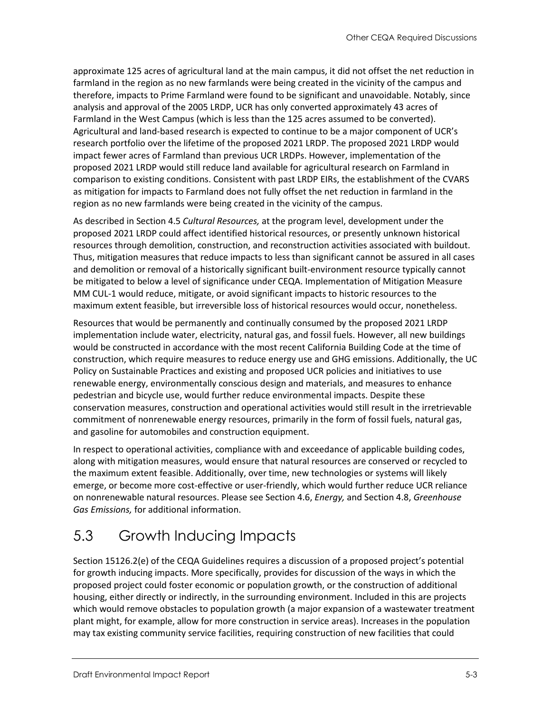approximate 125 acres of agricultural land at the main campus, it did not offset the net reduction in farmland in the region as no new farmlands were being created in the vicinity of the campus and therefore, impacts to Prime Farmland were found to be significant and unavoidable. Notably, since analysis and approval of the 2005 LRDP, UCR has only converted approximately 43 acres of Farmland in the West Campus (which is less than the 125 acres assumed to be converted). Agricultural and land-based research is expected to continue to be a major component of UCR's research portfolio over the lifetime of the proposed 2021 LRDP. The proposed 2021 LRDP would impact fewer acres of Farmland than previous UCR LRDPs. However, implementation of the proposed 2021 LRDP would still reduce land available for agricultural research on Farmland in comparison to existing conditions. Consistent with past LRDP EIRs, the establishment of the CVARS as mitigation for impacts to Farmland does not fully offset the net reduction in farmland in the region as no new farmlands were being created in the vicinity of the campus.

As described in Section 4.5 *Cultural Resources,* at the program level, development under the proposed 2021 LRDP could affect identified historical resources, or presently unknown historical resources through demolition, construction, and reconstruction activities associated with buildout. Thus, mitigation measures that reduce impacts to less than significant cannot be assured in all cases and demolition or removal of a historically significant built-environment resource typically cannot be mitigated to below a level of significance under CEQA. Implementation of Mitigation Measure MM CUL-1 would reduce, mitigate, or avoid significant impacts to historic resources to the maximum extent feasible, but irreversible loss of historical resources would occur, nonetheless.

Resources that would be permanently and continually consumed by the proposed 2021 LRDP implementation include water, electricity, natural gas, and fossil fuels. However, all new buildings would be constructed in accordance with the most recent California Building Code at the time of construction, which require measures to reduce energy use and GHG emissions. Additionally, the UC Policy on Sustainable Practices and existing and proposed UCR policies and initiatives to use renewable energy, environmentally conscious design and materials, and measures to enhance pedestrian and bicycle use, would further reduce environmental impacts. Despite these conservation measures, construction and operational activities would still result in the irretrievable commitment of nonrenewable energy resources, primarily in the form of fossil fuels, natural gas, and gasoline for automobiles and construction equipment.

In respect to operational activities, compliance with and exceedance of applicable building codes, along with mitigation measures, would ensure that natural resources are conserved or recycled to the maximum extent feasible. Additionally, over time, new technologies or systems will likely emerge, or become more cost-effective or user-friendly, which would further reduce UCR reliance on nonrenewable natural resources. Please see Section 4.6, *Energy,* and Section 4.8, *Greenhouse Gas Emissions,* for additional information.

# 5.3 Growth Inducing Impacts

Section 15126.2(e) of the CEQA Guidelines requires a discussion of a proposed project's potential for growth inducing impacts. More specifically, provides for discussion of the ways in which the proposed project could foster economic or population growth, or the construction of additional housing, either directly or indirectly, in the surrounding environment. Included in this are projects which would remove obstacles to population growth (a major expansion of a wastewater treatment plant might, for example, allow for more construction in service areas). Increases in the population may tax existing community service facilities, requiring construction of new facilities that could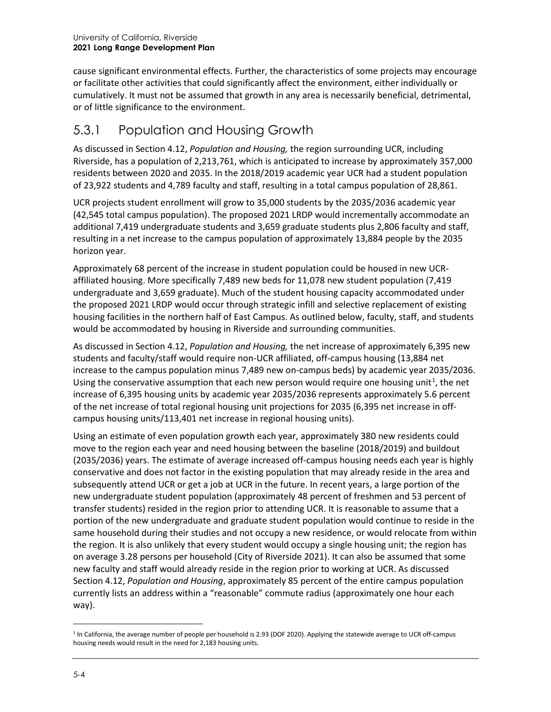cause significant environmental effects. Further, the characteristics of some projects may encourage or facilitate other activities that could significantly affect the environment, either individually or cumulatively. It must not be assumed that growth in any area is necessarily beneficial, detrimental, or of little significance to the environment.

### 5.3.1 Population and Housing Growth

As discussed in Section 4.12, *Population and Housing,* the region surrounding UCR, including Riverside, has a population of 2,213,761, which is anticipated to increase by approximately 357,000 residents between 2020 and 2035. In the 2018/2019 academic year UCR had a student population of 23,922 students and 4,789 faculty and staff, resulting in a total campus population of 28,861.

UCR projects student enrollment will grow to 35,000 students by the 2035/2036 academic year (42,545 total campus population). The proposed 2021 LRDP would incrementally accommodate an additional 7,419 undergraduate students and 3,659 graduate students plus 2,806 faculty and staff, resulting in a net increase to the campus population of approximately 13,884 people by the 2035 horizon year.

Approximately 68 percent of the increase in student population could be housed in new UCRaffiliated housing. More specifically 7,489 new beds for 11,078 new student population (7,419 undergraduate and 3,659 graduate). Much of the student housing capacity accommodated under the proposed 2021 LRDP would occur through strategic infill and selective replacement of existing housing facilities in the northern half of East Campus. As outlined below, faculty, staff, and students would be accommodated by housing in Riverside and surrounding communities.

As discussed in Section 4.12, *Population and Housing,* the net increase of approximately 6,395 new students and faculty/staff would require non-UCR affiliated, off-campus housing (13,884 net increase to the campus population minus 7,489 new on-campus beds) by academic year 2035/2036. Using the conservative assumption that each new person would require one housing unit<sup>[1](#page-3-0)</sup>, the net increase of 6,395 housing units by academic year 2035/2036 represents approximately 5.6 percent of the net increase of total regional housing unit projections for 2035 (6,395 net increase in offcampus housing units/113,401 net increase in regional housing units).

Using an estimate of even population growth each year, approximately 380 new residents could move to the region each year and need housing between the baseline (2018/2019) and buildout (2035/2036) years. The estimate of average increased off-campus housing needs each year is highly conservative and does not factor in the existing population that may already reside in the area and subsequently attend UCR or get a job at UCR in the future. In recent years, a large portion of the new undergraduate student population (approximately 48 percent of freshmen and 53 percent of transfer students) resided in the region prior to attending UCR. It is reasonable to assume that a portion of the new undergraduate and graduate student population would continue to reside in the same household during their studies and not occupy a new residence, or would relocate from within the region. It is also unlikely that every student would occupy a single housing unit; the region has on average 3.28 persons per household (City of Riverside 2021). It can also be assumed that some new faculty and staff would already reside in the region prior to working at UCR. As discussed Section 4.12, *Population and Housing*, approximately 85 percent of the entire campus population currently lists an address within a "reasonable" commute radius (approximately one hour each way).

<span id="page-3-0"></span><sup>1</sup> In California, the average number of people per household is 2.93 (DOF 2020). Applying the statewide average to UCR off-campus housing needs would result in the need for 2,183 housing units.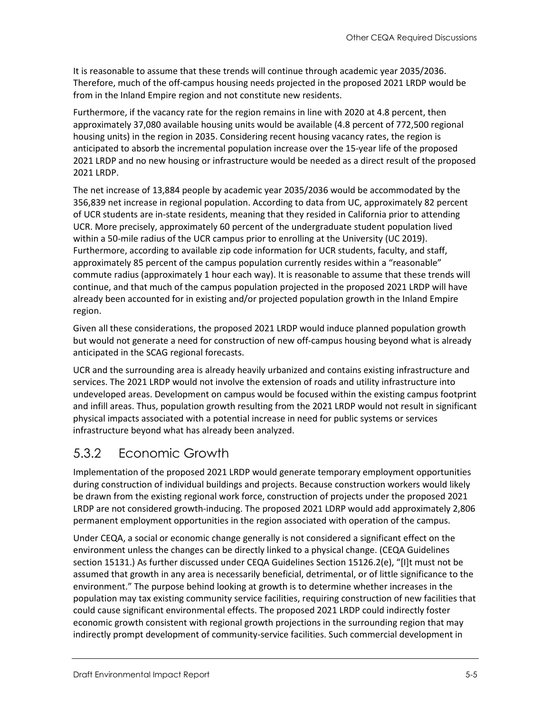It is reasonable to assume that these trends will continue through academic year 2035/2036. Therefore, much of the off-campus housing needs projected in the proposed 2021 LRDP would be from in the Inland Empire region and not constitute new residents.

Furthermore, if the vacancy rate for the region remains in line with 2020 at 4.8 percent, then approximately 37,080 available housing units would be available (4.8 percent of 772,500 regional housing units) in the region in 2035. Considering recent housing vacancy rates, the region is anticipated to absorb the incremental population increase over the 15-year life of the proposed 2021 LRDP and no new housing or infrastructure would be needed as a direct result of the proposed 2021 LRDP.

The net increase of 13,884 people by academic year 2035/2036 would be accommodated by the 356,839 net increase in regional population. According to data from UC, approximately 82 percent of UCR students are in-state residents, meaning that they resided in California prior to attending UCR. More precisely, approximately 60 percent of the undergraduate student population lived within a 50-mile radius of the UCR campus prior to enrolling at the University (UC 2019). Furthermore, according to available zip code information for UCR students, faculty, and staff, approximately 85 percent of the campus population currently resides within a "reasonable" commute radius (approximately 1 hour each way). It is reasonable to assume that these trends will continue, and that much of the campus population projected in the proposed 2021 LRDP will have already been accounted for in existing and/or projected population growth in the Inland Empire region.

Given all these considerations, the proposed 2021 LRDP would induce planned population growth but would not generate a need for construction of new off-campus housing beyond what is already anticipated in the SCAG regional forecasts.

UCR and the surrounding area is already heavily urbanized and contains existing infrastructure and services. The 2021 LRDP would not involve the extension of roads and utility infrastructure into undeveloped areas. Development on campus would be focused within the existing campus footprint and infill areas. Thus, population growth resulting from the 2021 LRDP would not result in significant physical impacts associated with a potential increase in need for public systems or services infrastructure beyond what has already been analyzed.

### 5.3.2 Economic Growth

Implementation of the proposed 2021 LRDP would generate temporary employment opportunities during construction of individual buildings and projects. Because construction workers would likely be drawn from the existing regional work force, construction of projects under the proposed 2021 LRDP are not considered growth-inducing. The proposed 2021 LDRP would add approximately 2,806 permanent employment opportunities in the region associated with operation of the campus.

Under CEQA, a social or economic change generally is not considered a significant effect on the environment unless the changes can be directly linked to a physical change. (CEQA Guidelines section 15131.) As further discussed under CEQA Guidelines Section 15126.2(e), "[I]t must not be assumed that growth in any area is necessarily beneficial, detrimental, or of little significance to the environment." The purpose behind looking at growth is to determine whether increases in the population may tax existing community service facilities, requiring construction of new facilities that could cause significant environmental effects. The proposed 2021 LRDP could indirectly foster economic growth consistent with regional growth projections in the surrounding region that may indirectly prompt development of community-service facilities. Such commercial development in